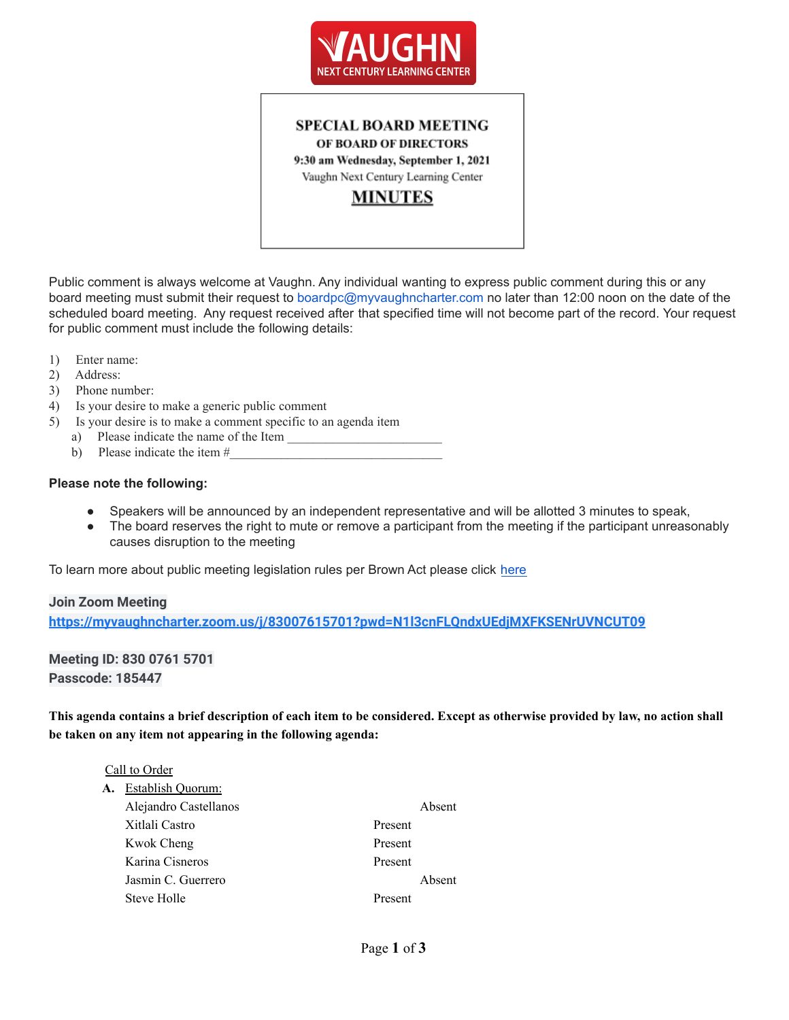

# **SPECIAL BOARD MEETING** OF BOARD OF DIRECTORS 9:30 am Wednesday, September 1, 2021 Vaughn Next Century Learning Center **MINUTES**

Public comment is always welcome at Vaughn. Any individual wanting to express public comment during this or any board meeting must submit their request to boardpc@myvaughncharter.com no later than 12:00 noon on the date of the scheduled board meeting. Any request received after that specified time will not become part of the record. Your request for public comment must include the following details:

- 1) Enter name:
- 2) Address:
- 3) Phone number:
- 4) Is your desire to make a generic public comment
- 5) Is your desire is to make a comment specific to an agenda item
	- a) Please indicate the name of the Item
	- b) Please indicate the item  $#_2$

#### **Please note the following:**

- Speakers will be announced by an independent representative and will be allotted 3 minutes to speak,
- The board reserves the right to mute or remove a participant from the meeting if the participant unreasonably causes disruption to the meeting

To learn more about public meeting legislation rules per Brown Act please click [here](https://leginfo.legislature.ca.gov/faces/billTextClient.xhtml?bill_id=201520160AB1787)

#### **Join Zoom Meeting**

**<https://myvaughncharter.zoom.us/j/83007615701?pwd=N1l3cnFLQndxUEdjMXFKSENrUVNCUT09>**

**Meeting ID: 830 0761 5701 Passcode: 185447**

This agenda contains a brief description of each item to be considered. Except as otherwise provided by law, no action shall **be taken on any item not appearing in the following agenda:**

#### Call to Order

| А. | <b>Establish Quorum:</b> |         |        |
|----|--------------------------|---------|--------|
|    | Alejandro Castellanos    |         | Absent |
|    | Xitlali Castro           | Present |        |
|    | Kwok Cheng               | Present |        |
|    | Karina Cisneros          | Present |        |
|    | Jasmin C. Guerrero       |         | Absent |
|    | Steve Holle              | Present |        |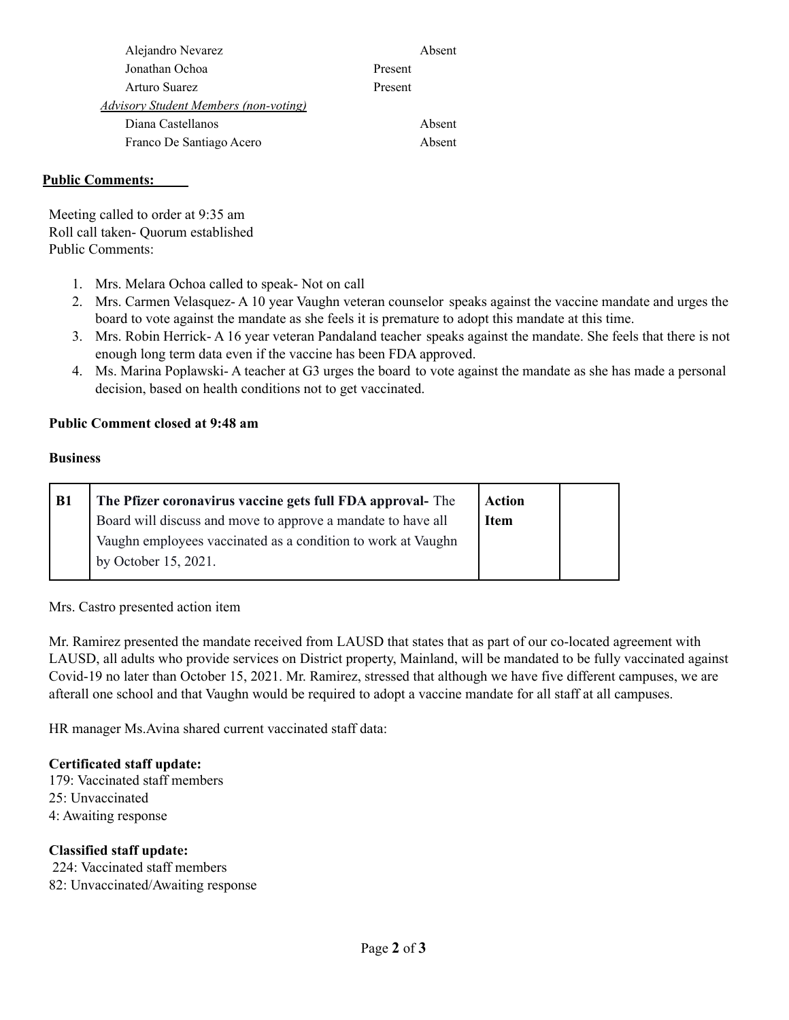|         | Absent |
|---------|--------|
| Present |        |
| Present |        |
|         |        |
|         | Absent |
|         | Absent |
|         |        |

### **Public Comments:**

Meeting called to order at 9:35 am Roll call taken- Quorum established Public Comments:

- 1. Mrs. Melara Ochoa called to speak- Not on call
- 2. Mrs. Carmen Velasquez- A 10 year Vaughn veteran counselor speaks against the vaccine mandate and urges the board to vote against the mandate as she feels it is premature to adopt this mandate at this time.
- 3. Mrs. Robin Herrick- A 16 year veteran Pandaland teacher speaks against the mandate. She feels that there is not enough long term data even if the vaccine has been FDA approved.
- 4. Ms. Marina Poplawski- A teacher at G3 urges the board to vote against the mandate as she has made a personal decision, based on health conditions not to get vaccinated.

## **Public Comment closed at 9:48 am**

#### **Business**

| The Pfizer coronavirus vaccine gets full FDA approval- The   | <b>Action</b> |  |
|--------------------------------------------------------------|---------------|--|
| Board will discuss and move to approve a mandate to have all | <b>Item</b>   |  |
| Vaughn employees vaccinated as a condition to work at Vaughn |               |  |
| by October $15, 2021$ .                                      |               |  |
|                                                              |               |  |

Mrs. Castro presented action item

Mr. Ramirez presented the mandate received from LAUSD that states that as part of our co-located agreement with LAUSD, all adults who provide services on District property, Mainland, will be mandated to be fully vaccinated against Covid-19 no later than October 15, 2021. Mr. Ramirez, stressed that although we have five different campuses, we are afterall one school and that Vaughn would be required to adopt a vaccine mandate for all staff at all campuses.

HR manager Ms.Avina shared current vaccinated staff data:

## **Certificated staff update:**

179: Vaccinated staff members 25: Unvaccinated 4: Awaiting response

#### **Classified staff update:**

224: Vaccinated staff members 82: Unvaccinated/Awaiting response